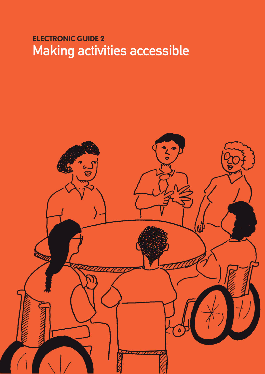# **ElEctronic GuidE 2** Making activities accessible

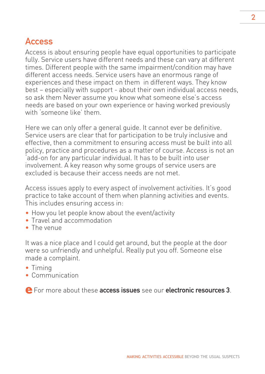## Access

Access is about ensuring people have equal opportunities to participate fully. Service users have different needs and these can vary at different times. Different people with the same impairment/condition may have different access needs. Service users have an enormous range of experiences and these impact on them in different ways. They know best – especially with support - about their own individual access needs, so ask them Never assume you know what someone else's access needs are based on your own experience or having worked previously with 'someone like' them.

Here we can only offer a general guide. It cannot ever be definitive. Service users are clear that for participation to be truly inclusive and effective, then a commitment to ensuring access must be built into all policy, practice and procedures as a matter of course. Access is not an 'add-on for any particular individual. It has to be built into user involvement. A key reason why some groups of service users are excluded is because their access needs are not met.

Access issues apply to every aspect of involvement activities. It's good practice to take account of them when planning activities and events. This includes ensuring access in:

- How you let people know about the event/activity
- Travel and accommodation
- The venue

It was a nice place and I could get around, but the people at the door were so unfriendly and unhelpful. Really put you off. Someone else made a complaint.

- Timing
- Communication

**e** For more about these access issues see our electronic resources <sup>3</sup>.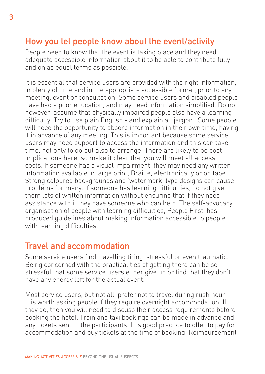## How you let people know about the event/activity

People need to know that the event is taking place and they need adequate accessible information about it to be able to contribute fully and on as equal terms as possible.

It is essential that service users are provided with the right information, in plenty of time and in the appropriate accessible format, prior to any meeting, event or consultation. Some service users and disabled people have had a poor education, and may need information simplified. Do not, however, assume that physically impaired people also have a learning difficulty. Try to use plain English - and explain all jargon. Some people will need the opportunity to absorb information in their own time, having it in advance of any meeting. This is important because some service users may need support to access the information and this can take time, not only to do but also to arrange. There are likely to be cost implications here, so make it clear that you will meet all access costs. If someone has a visual impairment, they may need any written information available in large print, Braille, electronically or on tape. Strong coloured backgrounds and 'watermark' type designs can cause problems for many. If someone has learning difficulties, do not give them lots of written information without ensuring that if they need assistance with it they have someone who can help. The self-advocacy organisation of people with learning difficulties, People First, has produced guidelines about making information accessible to people with learning difficulties.

#### Travel and accommodation

Some service users find travelling tiring, stressful or even traumatic. Being concerned with the practicalities of getting there can be so stressful that some service users either give up or find that they don't have any energy left for the actual event.

Most service users, but not all, prefer not to travel during rush hour. It is worth asking people if they require overnight accommodation. If they do, then you will need to discuss their access requirements before booking the hotel. Train and taxi bookings can be made in advance and any tickets sent to the participants. It is good practice to offer to pay for accommodation and buy tickets at the time of booking. Reimbursement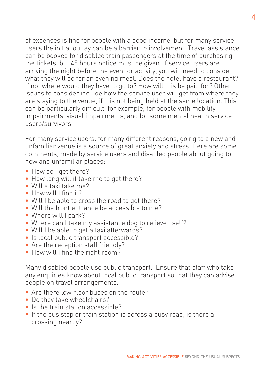of expenses is fine for people with a good income, but for many service users the initial outlay can be a barrier to involvement. Travel assistance can be booked for disabled train passengers at the time of purchasing the tickets, but 48 hours notice must be given. If service users are arriving the night before the event or activity, you will need to consider what they will do for an evening meal. Does the hotel have a restaurant? If not where would they have to go to? How will this be paid for? Other issues to consider include how the service user will get from where they are staying to the venue, if it is not being held at the same location. This can be particularly difficult, for example, for people with mobility impairments, visual impairments, and for some mental health service users/survivors.

For many service users. for many different reasons, going to a new and unfamiliar venue is a source of great anxiety and stress. Here are some comments, made by service users and disabled people about going to new and unfamiliar places:

- How do I get there?
- How long will it take me to get there?
- Will a taxi take me?
- How will I find it?
- Will I be able to cross the road to get there?
- Will the front entrance be accessible to me?
- Where will I park?
- Where can I take my assistance dog to relieve itself?
- Will I be able to get a taxi afterwards?
- Is local public transport accessible?
- Are the reception staff friendly?
- How will I find the right room?

Many disabled people use public transport. Ensure that staff who take any enquiries know about local public transport so that they can advise people on travel arrangements.

- Are there low-floor buses on the route?
- Do they take wheelchairs?
- Is the train station accessible?
- If the bus stop or train station is across a busy road, is there a crossing nearby?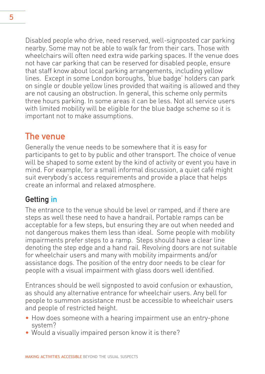Disabled people who drive, need reserved, well-signposted car parking nearby. Some may not be able to walk far from their cars. Those with wheelchairs will often need extra wide parking spaces. If the venue does not have car parking that can be reserved for disabled people, ensure that staff know about local parking arrangements, including yellow lines. Except in some London boroughs, 'blue badge' holders can park on single or double yellow lines provided that waiting is allowed and they are not causing an obstruction. In general, this scheme only permits three hours parking. In some areas it can be less. Not all service users with limited mobility will be eligible for the blue badge scheme so it is important not to make assumptions.

#### The venue

Generally the venue needs to be somewhere that it is easy for participants to get to by public and other transport. The choice of venue will be shaped to some extent by the kind of activity or event you have in mind. For example, for a small informal discussion, a quiet café might suit everybody's access requirements and provide a place that helps create an informal and relaxed atmosphere.

#### Getting in

The entrance to the venue should be level or ramped, and if there are steps as well these need to have a handrail. Portable ramps can be acceptable for a few steps, but ensuring they are out when needed and not dangerous makes them less than ideal. Some people with mobility impairments prefer steps to a ramp. Steps should have a clear line denoting the step edge and a hand rail. Revolving doors are not suitable for wheelchair users and many with mobility impairments and/or assistance dogs. The position of the entry door needs to be clear for people with a visual impairment with glass doors well identified.

Entrances should be well signposted to avoid confusion or exhaustion, as should any alternative entrance for wheelchair users. Any bell for people to summon assistance must be accessible to wheelchair users and people of restricted height.

- How does someone with a hearing impairment use an entry-phone system?
- Would a visually impaired person know it is there?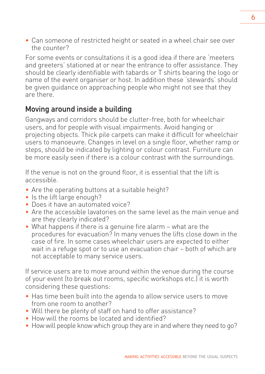• Can someone of restricted height or seated in a wheel chair see over the counter?

For some events or consultations it is a good idea if there are 'meeters and greeters' stationed at or near the entrance to offer assistance. They should be clearly identifiable with tabards or T shirts bearing the logo or name of the event organiser or host. In addition these 'stewards' should be given guidance on approaching people who might not see that they are there.

#### Moving around inside a building

Gangways and corridors should be clutter-free, both for wheelchair users, and for people with visual impairments. Avoid hanging or projecting objects. Thick pile carpets can make it difficult for wheelchair users to manoeuvre. Changes in level on a single floor, whether ramp or steps, should be indicated by lighting or colour contrast. Furniture can be more easily seen if there is a colour contrast with the surroundings.

If the venue is not on the ground floor, it is essential that the lift is accessible.

- Are the operating buttons at a suitable height?
- Is the lift large enough?
- Does it have an automated voice?
- Are the accessible lavatories on the same level as the main venue and are they clearly indicated?
- What happens if there is a genuine fire alarm what are the procedures for evacuation? In many venues the lifts close down in the case of fire. In some cases wheelchair users are expected to either wait in a refuge spot or to use an evacuation chair – both of which are not acceptable to many service users.

If service users are to move around within the venue during the course of your event (to break out rooms, specific workshops etc.) it is worth considering these questions:

- Has time been built into the agenda to allow service users to move from one room to another?
- Will there be plenty of staff on hand to offer assistance?
- How will the rooms be located and identified?
- How will people know which group they are in and where they need to go?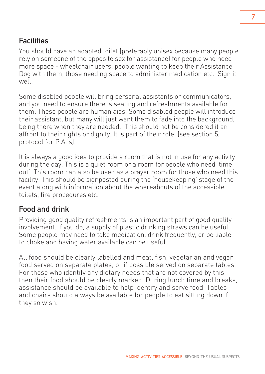#### **Facilities**

You should have an adapted toilet (preferably unisex because many people rely on someone of the opposite sex for assistance) for people who need more space - wheelchair users, people wanting to keep their Assistance Dog with them, those needing space to administer medication etc. Sign it well.

Some disabled people will bring personal assistants or communicators, and you need to ensure there is seating and refreshments available for them. These people are human aids. Some disabled people will introduce their assistant, but many will just want them to fade into the background, being there when they are needed. This should not be considered it an affront to their rights or dignity. It is part of their role. (see section 5, protocol for P.A.'s).

It is always a good idea to provide a room that is not in use for any activity during the day. This is a quiet room or a room for people who need 'time out'. This room can also be used as a prayer room for those who need this facility. This should be signposted during the 'housekeeping' stage of the event along with information about the whereabouts of the accessible toilets, fire procedures etc.

#### Food and drink

Providing good quality refreshments is an important part of good quality involvement. If you do, a supply of plastic drinking straws can be useful. Some people may need to take medication, drink frequently, or be liable to choke and having water available can be useful.

All food should be clearly labelled and meat, fish, vegetarian and vegan food served on separate plates, or if possible served on separate tables. For those who identify any dietary needs that are not covered by this, then their food should be clearly marked. During lunch time and breaks, assistance should be available to help identify and serve food. Tables and chairs should always be available for people to eat sitting down if they so wish.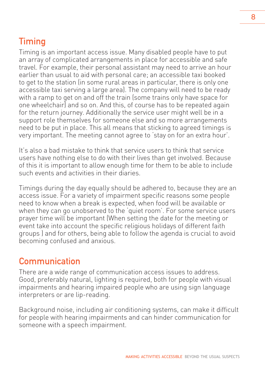## Timing

Timing is an important access issue. Many disabled people have to put an array of complicated arrangements in place for accessible and safe travel. For example, their personal assistant may need to arrive an hour earlier than usual to aid with personal care; an accessible taxi booked to get to the station (in some rural areas in particular, there is only one accessible taxi serving a large area). The company will need to be ready with a ramp to get on and off the train (some trains only have space for one wheelchair) and so on. And this, of course has to be repeated again for the return journey. Additionally the service user might well be in a support role themselves for someone else and so more arrangements need to be put in place. This all means that sticking to agreed timings is very important. The meeting cannot agree to 'stay on for an extra hour'.

It's also a bad mistake to think that service users to think that service users have nothing else to do with their lives than get involved. Because of this it is important to allow enough time for them to be able to include such events and activities in their diaries.

Timings during the day equally should be adhered to, because they are an access issue. For a variety of impairment specific reasons some people need to know when a break is expected, when food will be available or when they can go unobserved to the 'quiet room'. For some service users prayer time will be important (When setting the date for the meeting or event take into account the specific religious holidays of different faith groups ) and for others, being able to follow the agenda is crucial to avoid becoming confused and anxious.

## Communication

There are a wide range of communication access issues to address. Good, preferably natural, lighting is required, both for people with visual impairments and hearing impaired people who are using sign language interpreters or are lip-reading.

Background noise, including air conditioning systems, can make it difficult for people with hearing impairments and can hinder communication for someone with a speech impairment.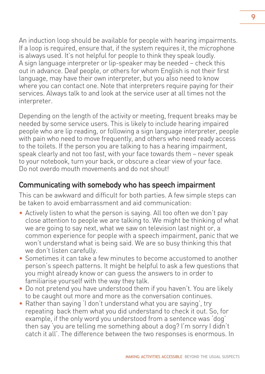An induction loop should be available for people with hearing impairments. If a loop is required, ensure that, if the system requires it, the microphone is always used. It's not helpful for people to think they speak loudly. A sign language interpreter or lip-speaker may be needed – check this out in advance. Deaf people, or others for whom English is not their first language, may have their own interpreter, but you also need to know where you can contact one. Note that interpreters require paying for their services. Always talk to and look at the service user at all times not the interpreter.

Depending on the length of the activity or meeting, frequent breaks may be needed by some service users. This is likely to include hearing impaired people who are lip reading, or following a sign language interpreter, people with pain who need to move frequently, and others who need ready access to the toilets. If the person you are talking to has a hearing impairment, speak clearly and not too fast, with your face towards them – never speak to your notebook, turn your back, or obscure a clear view of your face. Do not overdo mouth movements and do not shout!

#### Communicating with somebody who has speech impairment

This can be awkward and difficult for both parties. A few simple steps can be taken to avoid embarrassment and aid communication:

- Actively listen to what the person is saying. All too often we don't pay close attention to people we are talking to. We might be thinking of what we are going to say next, what we saw on television last night or, a common experience for people with a speech impairment, panic that we won't understand what is being said. We are so busy thinking this that we don't listen carefully.
- Sometimes it can take a few minutes to become accustomed to another person's speech patterns. It might be helpful to ask a few questions that you might already know or can guess the answers to in order to familiarise yourself with the way they talk.
- Do not pretend you have understood them if you haven't. You are likely to be caught out more and more as the conversation continues.
- Rather than saying 'I don't understand what you are saying', try repeating back them what you did understand to check it out. So, for example, if the only word you understood from a sentence was 'dog' then say 'you are telling me something about a dog? I'm sorry I didn't catch it all'. The difference between the two responses is enormous. In